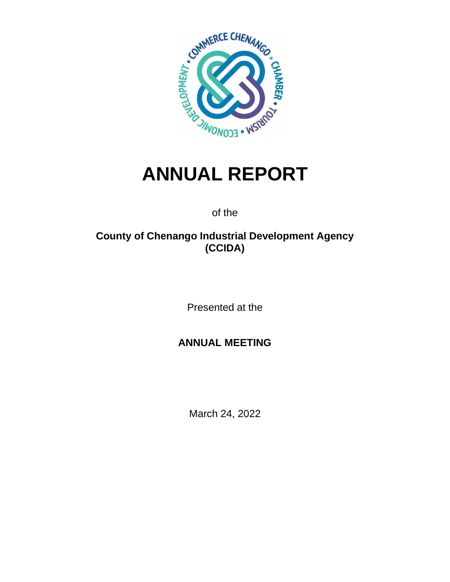

# **ANNUAL REPORT**

of the

## **County of Chenango Industrial Development Agency (CCIDA)**

Presented at the

### **ANNUAL MEETING**

March 24, 2022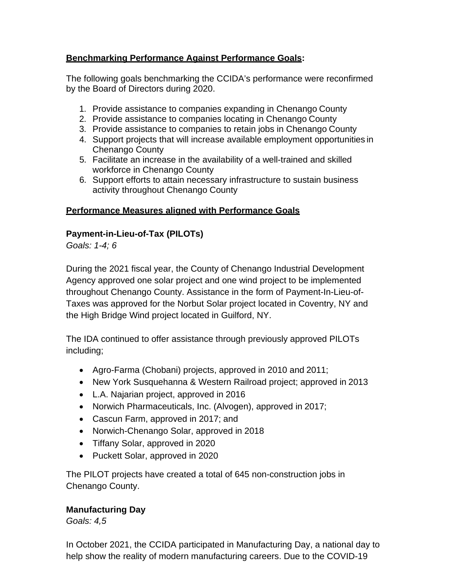#### **Benchmarking Performance Against Performance Goals:**

The following goals benchmarking the CCIDA's performance were reconfirmed by the Board of Directors during 2020.

- 1. Provide assistance to companies expanding in Chenango County
- 2. Provide assistance to companies locating in Chenango County
- 3. Provide assistance to companies to retain jobs in Chenango County
- 4. Support projects that will increase available employment opportunities in Chenango County
- 5. Facilitate an increase in the availability of a well-trained and skilled workforce in Chenango County
- 6. Support efforts to attain necessary infrastructure to sustain business activity throughout Chenango County

#### **Performance Measures aligned with Performance Goals**

#### **Payment-in-Lieu-of-Tax (PILOTs)**

*Goals: 1-4; 6*

During the 2021 fiscal year, the County of Chenango Industrial Development Agency approved one solar project and one wind project to be implemented throughout Chenango County. Assistance in the form of Payment-In-Lieu-of-Taxes was approved for the Norbut Solar project located in Coventry, NY and the High Bridge Wind project located in Guilford, NY.

The IDA continued to offer assistance through previously approved PILOTs including;

- Agro-Farma (Chobani) projects, approved in 2010 and 2011;
- New York Susquehanna & Western Railroad project; approved in 2013
- L.A. Najarian project, approved in 2016
- Norwich Pharmaceuticals, Inc. (Alvogen), approved in 2017;
- Cascun Farm, approved in 2017; and
- Norwich-Chenango Solar, approved in 2018
- Tiffany Solar, approved in 2020
- Puckett Solar, approved in 2020

The PILOT projects have created a total of 645 non-construction jobs in Chenango County.

#### **Manufacturing Day**

*Goals: 4,5*

In October 2021, the CCIDA participated in Manufacturing Day, a national day to help show the reality of modern manufacturing careers. Due to the COVID-19